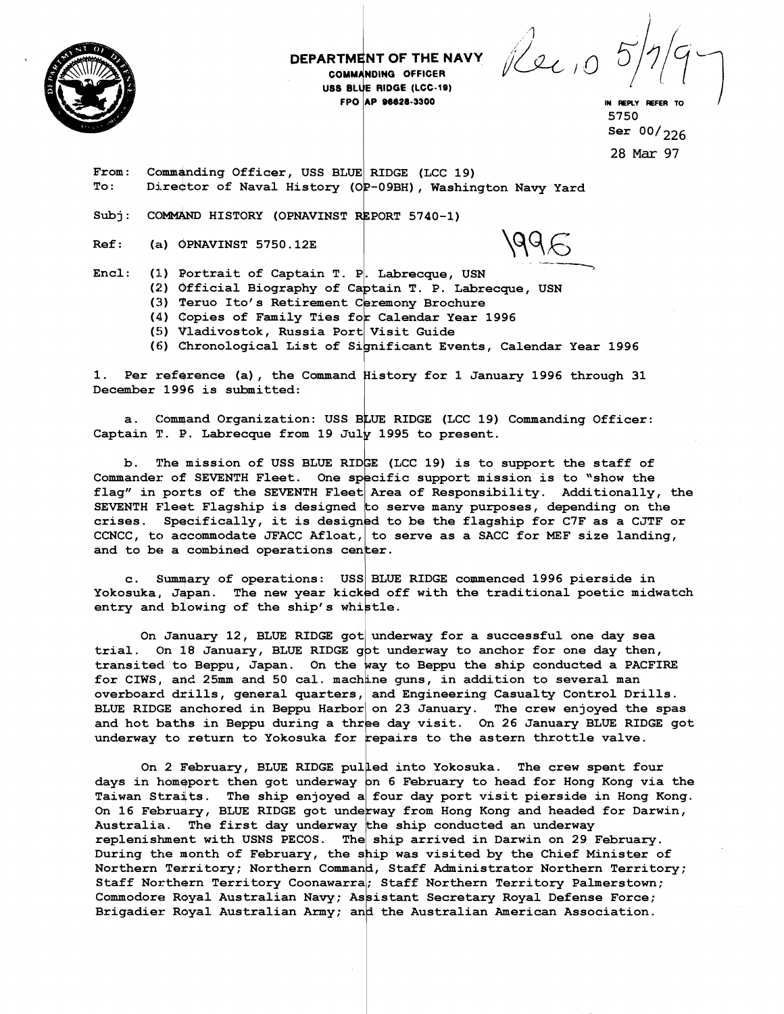

## DEPARTMENT OF THE NAVY COMMANDING OFFICER USS BLUE RIDGE (LCC-19) FPO AP 96628-3300

Rec 10

IN REPLY REFER TO 5750 Ser  $00/226$ 

28 Mar 97<br>RIDGE (LCC 19)<br>P-09BH), Washington Navy Yard From: Commanding Officer, USS BLUE RIDGE (LCC 19) To: 4Director of Naval History (OP-09BH), Washington Navy Yard

Subj: COMMAND HISTORY (OPNAVINST REPORT 5740-1)

Ref : **(a)** OPNAVINST 5750.12E

- (2) Official Biography of Captain T. P. Labrecque, USN
- (3) Teruo Ito's Retirement Ceremony Brochure
- (4) Copies of Family Ties for Calendar Year 1996
- (5) Vladivostok, Russia Port Visit Guide
- (6) Chronological List of Significant Events, Calendar Year 1996

Subj: COMMAND HISTORY (OPNAVINST REPORT 5740-1)<br>
Ref: (a) OPNAVINST 5750.12E<br>
Encl: (1) Portrait of Captain T. P. Labrecque, USN<br>
(2) Official Biography of Captain T. P. Labrecque, USN<br>
(3) Teru Lo's Retirement Ceremony Br 1. Per reference (a), the Command History for 1 January 1996 through 31 December 1996 is submitted:

a. Command Organization: USS BLUE RIDGE (LCC 19) Commanding Officer: Captain T. P. Labrecque from 19 July 1995 to present.

b. The mission of USS BLUE RIDGE (LCC 19) is to support the staff of Commander of SEVENTH Fleet. One specific support mission is to "show the flag" in ports of the SEVENTH Fleet Area of Responsibility. Additionally, the SEVENTH Fleet Flagship is designed to serve many purposes, depending on the crises. Specifically, it is designed to be the flagship for C7F as a CJTF or CCNCC, to accommodate JFACC Afloat, to serve as a SACC for MEF size landing, and to be a combined operations center.

c. Summary of operations: USS BLUE RIDGE commenced 1996 pierside in Yokosuka, Japan. The new year kicked off with the traditional poetic midwatch entry and blowing of the ship's whistle.

On January 12, BLUE RIDGE got underway for a successful one day sea trial. On 18 January, BLUE RIDGE got underway to anchor for one day then, transited to Beppu, Japan. On the way to Beppu the ship conducted a PACFIRE for CIWS, and 25mm and 50 cal. machine guns, in addition to several man overboard drills, general quarters, and Engineering Casualty Control Drills. BLUE RIDGE anchored in Beppu Harbor on 23 January. The crew enjoyed the spas and hot baths in Beppu during a three day visit. On 26 January BLUE RIDGE got underway to return to Yokosuka for repairs to the astern throttle valve.

On 2 February, BLUE RIDGE pulled into Yokosuka. The crew spent four days in homeport then got underway on 6 February to head for Hong Kong via the Taiwan Straits. The ship enjoyed a four day port visit pierside in Hong Kong. On 16 February, BLUE RIDGE got underway from Hong Kong and headed for Darwin, Australia. The first day underway the ship conducted an underway replenishment with USNS PECOS. The ship arrived in Darwin on 29 February. During the month of February, the ship was visited by the Chief Minister of Northern Territory; Northern Command, Staff Administrator Northern Territory; Staff Northern Territory Coonawarra; Staff Northern Territory Palmerstown; Commodore Royal Australian Navy; Assistant Secretary Royal Defense Force; Brigadier Royal Australian Army; and the Australian American Association.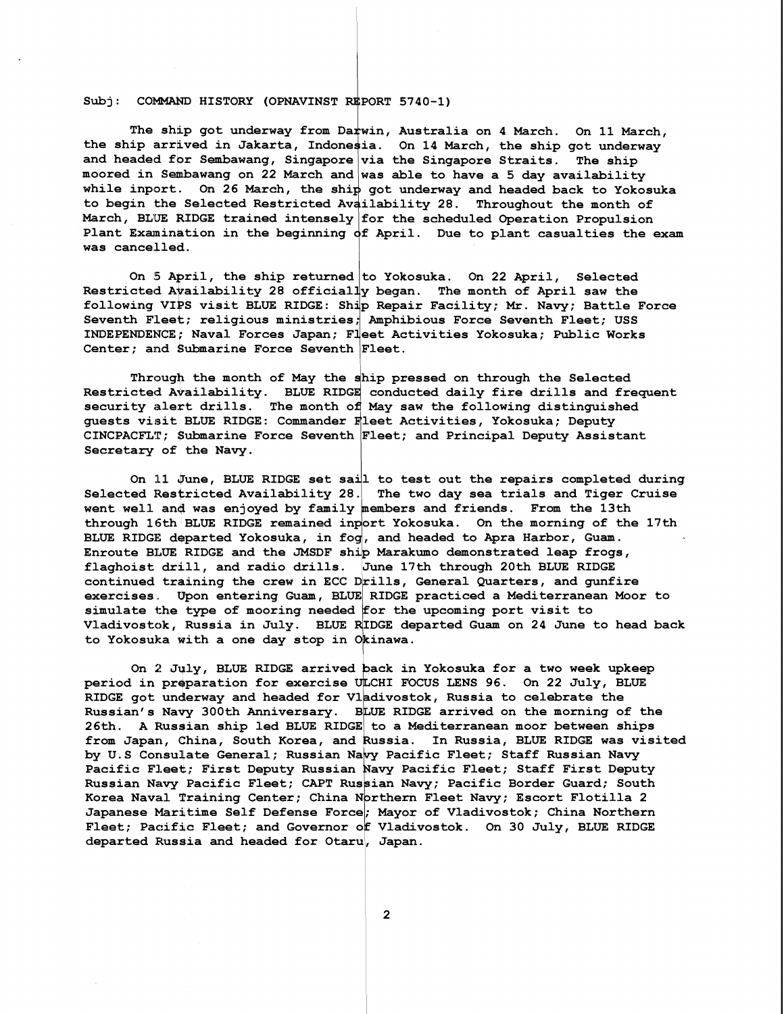## $Subi:$  COMMAND HISTORY (OPNAVINST REPORT 5740-1)

The ship got underway from Darwin, Australia on 4 March. On 11 March, the ship arrived in Jakarta, Indonesia. On 14 March, the ship got underway and headed for Sembawang, Singapore $\big|$ via the Singapore Straits. The ship moored in Sembawang on 22 March and was able to have a 5 day availability while inport. On 26 March, the ship got underway and headed back to Yokosuka to begin the Selected Restricted Availability 28. Throughout the month of March, BLUE RIDGE trained intensely for the scheduled Operation Propulsion Plant Examination in the beginning  $\mathsf{d} \mathsf{f}$  April. Due to plant casualties the exam was cancelled.

On 5 April, the ship returned to Yokosuka. **On** 22 April, Selected Restricted Availability 28 officially began. The month of April saw the following VIPs visit BLUE RIDGE: Sh'p Repair Facility; Mr. Navy; Battle Force Seventh Fleet; religious ministries, Amphibious Force Seventh Fleet; USS INDEPENDENCE; Naval Forces Japan; Fleet Activities Yokosuka; Public Works Center; and Submarine Force Seventh  $|$  Fleet.

Through the month of May the ship pressed on through the Selected Restricted Availability. BLUE RIDGE conducted daily fire drills and frequent security alert drills. The month of May saw the following distinguished guests visit BLUE RIDGE: Commander Fleet Activities, Yokosuka; Deputy CINCPACFLT; Submarine Force Seventh Fleet; and Principal Deputy Assistant<br>Secretary of the Navy.

On 11 June, BLUE RIDGE set sail to test out the repairs completed during Selected Restricted Availability 28. The two day sea trials and Tiger Cruise went well and was enjoyed by family members and friends. From the 13th through 16th BLUE RIDGE remained inport Yokosuka. On the morning of the 17th BLUE RIDGE departed Yokosuka, in fog, and headed to Apra Harbor, Guam. Enroute BLUE RIDGE and the JMSDF ship Marakumo demonstrated leap frogs, flaghoist drill, and radio drills. June 17th through 20th BLUE RIDGE continued training the crew in ECC Drills, General Quarters, and gunfire exercises. Upon entering Guam, BLUE RIDGE practiced a Mediterranean Moor to simulate the type of mooring needed for the upcoming port visit to Vladivostok, Russia in July. BLUE RIDGE departed Guam on 24 June to head back to Yokosuka with a one day stop in Okinawa.

On 2 July, BLUE RIDGE arrived back in Yokosuka for a two week upkeep period in preparation for exercise ULCHI FOCUS LENS 96. On 22 July, BLUE RIDGE got underway and headed for Vladivostok, Russia to celebrate the<br>Russian's Navy 300th Anniversary. BLUE RIDGE arrived on the morning of the 26th. A Russian ship led BLUE RIDGE to a Mediterranean moor between ships from Japan, China, South Korea, and Russia. In Russia, BLUE RIDGE was visited by U.S Consulate General; Russian Navy Pacific Fleet; Staff Russian Navy Pacific Fleet; First Deputy Russian Navy Pacific Fleet; Staff First Deputy Russian Navy Pacific Fleet; CAPT Russian Navy; Pacific Border Guard; South Korea Naval Training Center; China Northern Fleet Navy; Escort Flotilla 2 Japanese Maritime Self Defense Force; Mayor of Vladivostok; China Northern Fleet; Pacific Fleet; and Governor of Vladivostok. On 30 July, BLUE RIDGE departed Russia and headed for Otaru, Japan.

 $\overline{2}$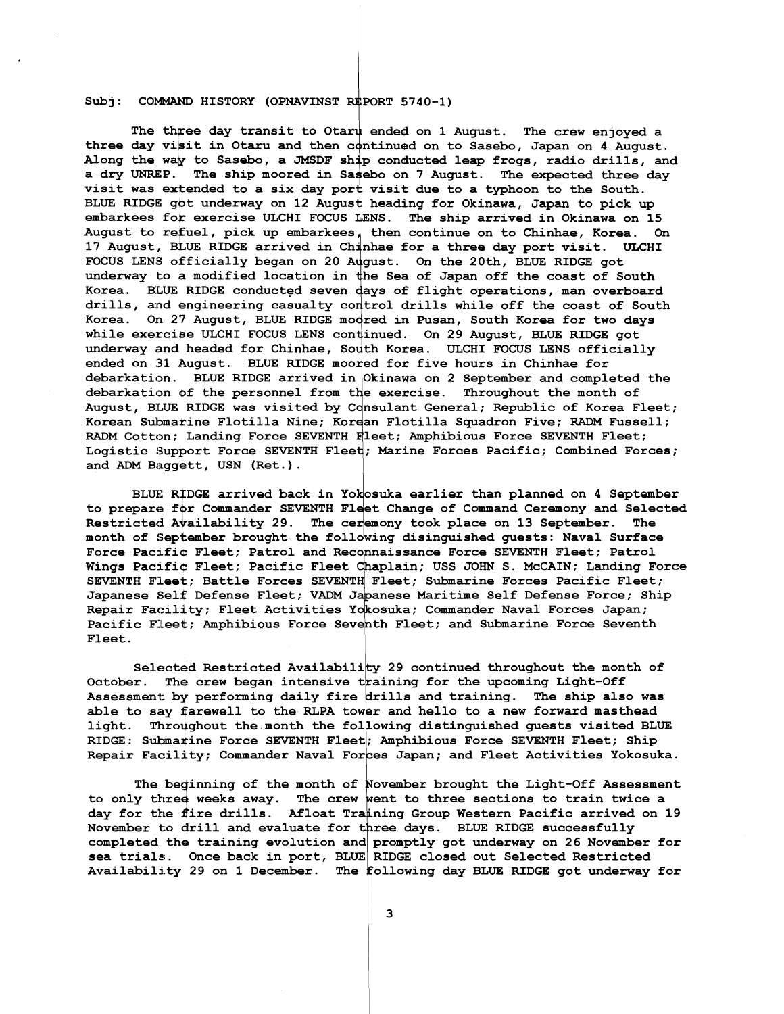Subj: COMMAND HISTORY (OPNAVINST REPORT 5740-1)<br>The three day transit to Otaru ended on 1 A<br>three day visit in Otaru and then continued on to The three day transit to Otaru ended on 1 August. The crew enjoyed a three day visit in Otaru and then continued on to Sasebo, Japan on 4 August. **Along the wav to Sasebo, a JMSDF sh p conducted leap frogs, radio drills, and**  a dry UNREP. The ship moored in Sasebo on 7 August. The expected three day visit was extended to a six day port visit due to a typhoon to the South. BLUE RIDGE got underway on 12 August heading for Okinawa, Japan to pick up embarkees for exercise ULCHI FOCUS LENS. The ship arrived in Okinawa on 15 August to refuel, pick up embarkees, then continue on to Chinhae, Korea. On **17 August, BLUE RIDGE arrived in Ch'nhae for a three day port visit. ULCHI**  FOCUS LENS officially began on 20 August. On the 20th, BLUE RIDGE got underway to a modified location in the Sea of Japan off the coast of South Korea. BLUE RIDGE conducted seven days of flight operations, man overboard drills, and engineering casualty control drills while off the coast of South Korea. On 27 August, BLUE RIDGE moored in Pusan, South Korea for two days **while exercise ULCHI FOCUS LENS continued. On 29 August, BLUE RIDGE got** underway and headed for Chinhae, South Korea. ULCHI FOCUS LENS officially **ended on 31 August. BLUE RIDGE moored for five hours in Chinhae for debarkation. BLUE RIDGE arrived in Okinawa on 2 September and completed the debarkation of the personnel from the exercise. Throughout the month of August, BLUE RIDGE was visited by Consulant General; Republic of Korea Fleet; Korean Sulmarine Flotilla Nine; Korean Flotilla Squadron Five;** RADM **Fussell;**  RADM **Cotton; Landing Force SEVENTH Fleet; Amphibious Force SEVENTH Fleet;**  Logistic Support Force SEVENTH Fleet**; Marine Forces Pacific; Combined Forces; and** ADM **Baggstt** , **USN (Ret** . ) .

BLUE RIDGE arrived back in Yokosuka earlier than planned on 4 September to prepare for Commander SEVENTH Fleet Change of Command Ceremony and Selected Restricted Availability 29. The ceremony took place on 13 September. The month of September brought the following disinguished quests: Naval Surface Force Pacific Fleet; Patrol and Reconnaissance Force SEVENTH Fleet; Patrol Wings Pacific Fleet; Pacific Fleet Chaplain; USS JOHN S. McCAIN; Landing Force SEVENTH Fleet; Battle Forces SEVENTH Fleet; Submarine Forces Pacific Fleet; Japanese Self Defense Fleet; VADM Japanese Maritime Self Defense Force; Ship Repair Facility; Fleet Activities Yokosuka; Commander Naval Forces Japan; Pacific Fleet; Amphibious Force Seventh Fleet; and Submarine Force Seventh **Fleet.** 

**Selected Restricted Availabili y 29 continued throughout the month of**  October. The crew began intensive training for the upcoming Light-Off Assessment by performing daily fire drills and training. The ship also was able to say farewell to the RLPA tower and hello to a new forward masthead **light. Throqghout the month the fol owing distinguished guests visited BLUE RIDGE: Subma&ine Force SEVENTH Fleet; Amphibious Force SEVENTH Fleet; Ship Repair Faczility; Commander Naval For es Japan; and Fleet Activities Yokosuka.** 

to only three weeks away. The crew went to three sections to train twice a day for the fire drills. Afloat Training Group Western Pacific arrived on 19 November to drill and evaluate for three days. BLUE RIDGE successfully completed the training evolution and promptly got underway on 26 November for sea trials. Once back in port, BLUE RIDGE closed out Selected Restricted Availability 29 on 1 December. The following day BLUE RIDGE got underway for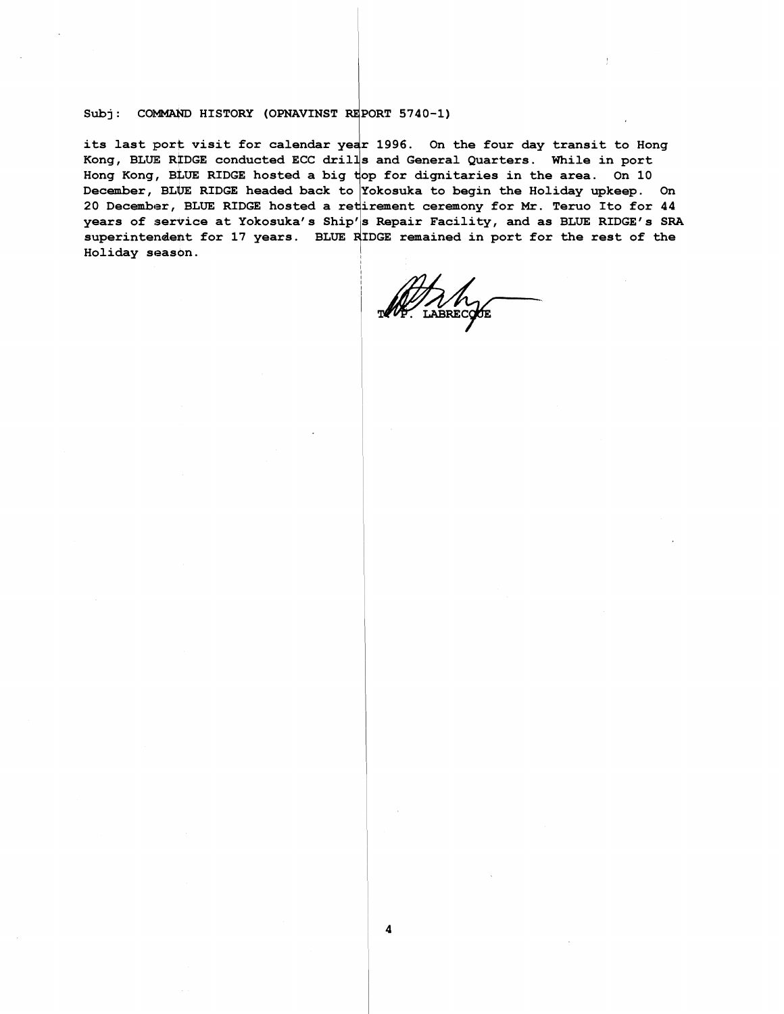Subj: COMMAND HISTORY (OPNAVINST REPORT 5740-1)<br>its last port visit for calendar year 1996. On the four day transit to Hong Kong, BLUE RIDGE conducted ECC drills and General Quarters. While in port Hong Kong, BLUE RIDGE hosted a big top for dignitaries in the area. On 10 December, BLUE RIDGE headed back to Yokosuka to begin the Holiday upkeep. On 20 December, BLUE RIDGE hosted a retirement ceremony for Mr. Teruo Ito for 44 years of service at Yokosuka's Ship's Repair Facility, and as BLUE RIDGE's SRA superintendent for 17 years. BLUE RIDGE remained in port for the rest of the **Holiday seasgn.** 

4

AAM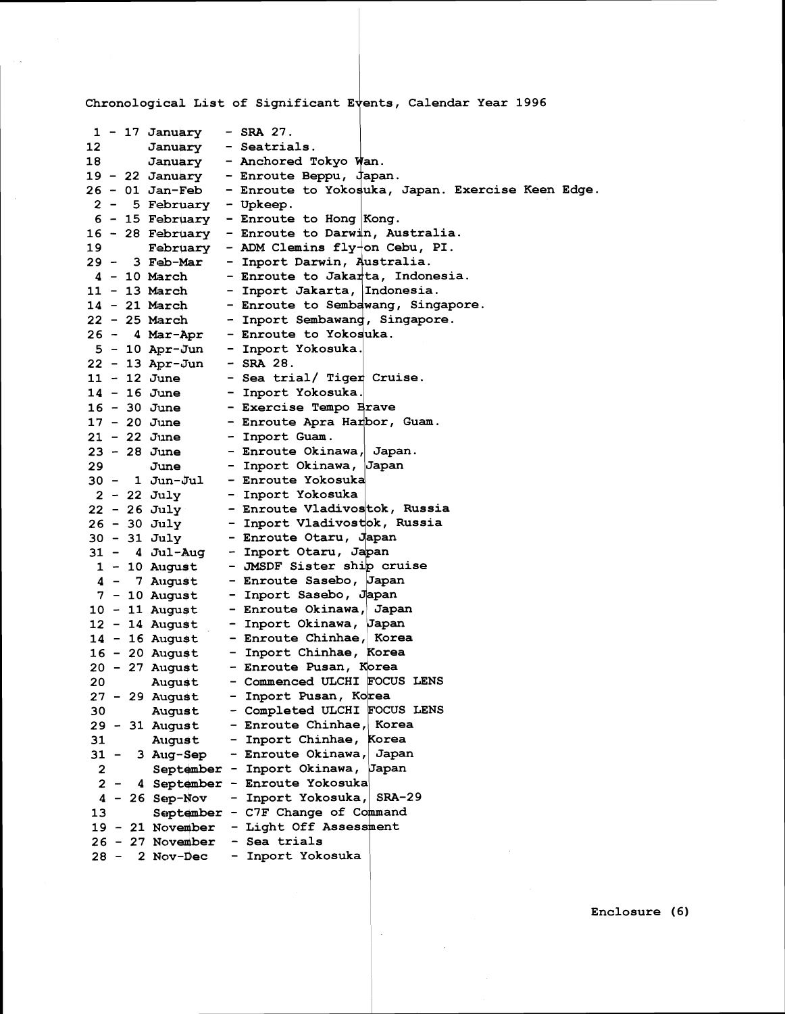Chronological List of Significant Events, Calendar Year 1996

L.

|                | $1 - 17$ January - SRA 27. |                                                                                                         |  |
|----------------|----------------------------|---------------------------------------------------------------------------------------------------------|--|
| 12.            | January - Seatrials.       |                                                                                                         |  |
| 18             |                            | January - Anchored Tokyo Wan.                                                                           |  |
|                |                            | 19 - 22 January - Enroute Beppu, Japan.                                                                 |  |
|                |                            | 26 - 01 Jan-Feb - Enroute to Yokosuka, Japan. Exercise Keen Edge.                                       |  |
|                | $2 - 5$ February - Upkeep. |                                                                                                         |  |
|                |                            | $6 - 15$ February - Enroute to Hong Kong.                                                               |  |
|                |                            | 16 - 28 February - Enroute to Darwin, Australia.                                                        |  |
| 19.            |                            | February - ADM Clemins $fly$ on Cebu, PI.                                                               |  |
|                | 29 - 3 Feb-Mar             | - Inport Darwin, Australia.                                                                             |  |
|                | 4 - 10 March               | - Enroute to Jakarta, Indonesia.                                                                        |  |
|                | 11 - 13 March              | - Inport Jakarta, Indonesia.                                                                            |  |
|                | 14 - 21 March              | - Enroute to Sembawang, Singapore.                                                                      |  |
|                | 22 - 25 March              | - Inport Sembawang, Singapore.                                                                          |  |
|                |                            |                                                                                                         |  |
|                |                            | 26 - 4 Mar-Apr - Enroute to Yokosuka.<br>5 - 10 Apr-Jun - Inport Yokosuka.<br>22 - 13 Apr-Jun - SRA 28. |  |
|                |                            |                                                                                                         |  |
| 11 - 12 June   |                            | - Sea trial/ Tiger Cruise.                                                                              |  |
| $14 - 16$ June |                            | - Inport Yokosuka.                                                                                      |  |
| 16 - 30 June   |                            | - Exercise Tempo Brave                                                                                  |  |
|                | 17 - 20 June               | - Enroute Apra Harbor, Guam.                                                                            |  |
|                | 21 - 22 June               | - Inport Guam.                                                                                          |  |
| 23 - 28 June   |                            | - Enroute Okinawa, Japan.                                                                               |  |
| 29.            | June                       | - Inport Okinawa, Japan                                                                                 |  |
|                | $30 - 1$ Jun-Jul           | - Enroute Yokosuka                                                                                      |  |
| $2 - 22$ July  |                            | - Inport Yokosuka                                                                                       |  |
| $22 - 26$ July |                            | - Enroute Vladivostok, Russia                                                                           |  |
| 26 - 30 July   |                            | - Inport Vladivostok, Russia                                                                            |  |
| 30 - 31 July   |                            | - Enroute Otaru, Japan                                                                                  |  |
|                | $31 - 4$ Jul-Aug           | - Inport Otaru, Japan                                                                                   |  |
|                | $1 - 10$ August            | - JMSDF Sister ship cruise                                                                              |  |
|                | 4 - 7 August               | - Enroute Sasebo, Japan                                                                                 |  |
|                | 7 - 10 August              | - Inport Sasebo, Japan                                                                                  |  |
|                | 10 - 11 August             | - Enroute Okinawa, Japan                                                                                |  |
|                | 12 - 14 August             | - Inport Okinawa, Japan                                                                                 |  |
|                | 14 - 16 August             | - Enroute Chinhae, Korea                                                                                |  |
|                | 16 - 20 August             | - Inport Chinhae, Korea                                                                                 |  |
|                |                            | 20 - 27 August - Enroute Pusan, Korea                                                                   |  |
| 20             | August                     | - Commenced ULCHI FOCUS LENS                                                                            |  |
| 27 - 29 August |                            | - Inport Pusan, Korea                                                                                   |  |
| 30             | August                     | - Completed ULCHI FOCUS LENS                                                                            |  |
|                | 29 - 31 August             | - Enroute Chinhae, Korea                                                                                |  |
| 31             | August                     | - Inport Chinhae, Korea                                                                                 |  |
| $31 -$         | 3 Aug-Sep                  | - Enroute Okinawa, Japan                                                                                |  |
| $\mathbf{2}$   |                            | September - Inport Okinawa, Japan                                                                       |  |
|                |                            | 2 - 4 September - Enroute Yokosuka                                                                      |  |
|                | $4 - 26$ Sep-Nov           | - Inport Yokosuka, SRA-29                                                                               |  |
| 13             |                            | September - C7F Change of Command                                                                       |  |
|                | $19 - 21$ November         | - Light Off Assessment                                                                                  |  |
|                | 26 - 27 November           | - Sea trials                                                                                            |  |
| 28 –           | 2 Nov-Dec                  | - Inport Yokosuka                                                                                       |  |

 $\mathcal{A}^{(1)}$